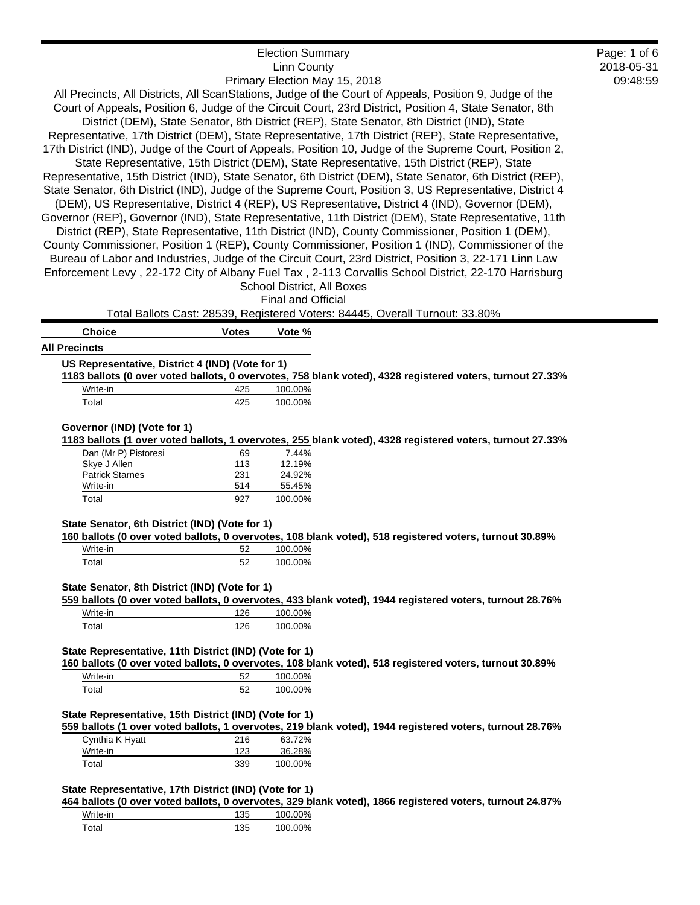|                                                                                                                                                                      |                                | <b>Election Summary</b><br><b>Linn County</b><br>School District, All Boxes<br>Final and Official | Primary Election May 15, 2018<br>All Precincts, All Districts, All ScanStations, Judge of the Court of Appeals, Position 9, Judge of the<br>Court of Appeals, Position 6, Judge of the Circuit Court, 23rd District, Position 4, State Senator, 8th<br>District (DEM), State Senator, 8th District (REP), State Senator, 8th District (IND), State<br>Representative, 17th District (DEM), State Representative, 17th District (REP), State Representative,<br>17th District (IND), Judge of the Court of Appeals, Position 10, Judge of the Supreme Court, Position 2,<br>State Representative, 15th District (DEM), State Representative, 15th District (REP), State<br>Representative, 15th District (IND), State Senator, 6th District (DEM), State Senator, 6th District (REP),<br>State Senator, 6th District (IND), Judge of the Supreme Court, Position 3, US Representative, District 4<br>(DEM), US Representative, District 4 (REP), US Representative, District 4 (IND), Governor (DEM),<br>Governor (REP), Governor (IND), State Representative, 11th District (DEM), State Representative, 11th<br>District (REP), State Representative, 11th District (IND), County Commissioner, Position 1 (DEM),<br>County Commissioner, Position 1 (REP), County Commissioner, Position 1 (IND), Commissioner of the<br>Bureau of Labor and Industries, Judge of the Circuit Court, 23rd District, Position 3, 22-171 Linn Law<br>Enforcement Levy, 22-172 City of Albany Fuel Tax, 2-113 Corvallis School District, 22-170 Harrisburg | Page: 1 of 6<br>2018-05-31<br>09:48:59 |
|----------------------------------------------------------------------------------------------------------------------------------------------------------------------|--------------------------------|---------------------------------------------------------------------------------------------------|-------------------------------------------------------------------------------------------------------------------------------------------------------------------------------------------------------------------------------------------------------------------------------------------------------------------------------------------------------------------------------------------------------------------------------------------------------------------------------------------------------------------------------------------------------------------------------------------------------------------------------------------------------------------------------------------------------------------------------------------------------------------------------------------------------------------------------------------------------------------------------------------------------------------------------------------------------------------------------------------------------------------------------------------------------------------------------------------------------------------------------------------------------------------------------------------------------------------------------------------------------------------------------------------------------------------------------------------------------------------------------------------------------------------------------------------------------------------------------------------------------------------------------------------|----------------------------------------|
|                                                                                                                                                                      |                                |                                                                                                   | Total Ballots Cast: 28539, Registered Voters: 84445, Overall Turnout: 33.80%                                                                                                                                                                                                                                                                                                                                                                                                                                                                                                                                                                                                                                                                                                                                                                                                                                                                                                                                                                                                                                                                                                                                                                                                                                                                                                                                                                                                                                                              |                                        |
| <b>Choice</b>                                                                                                                                                        | <b>Votes</b>                   | Vote %                                                                                            |                                                                                                                                                                                                                                                                                                                                                                                                                                                                                                                                                                                                                                                                                                                                                                                                                                                                                                                                                                                                                                                                                                                                                                                                                                                                                                                                                                                                                                                                                                                                           |                                        |
| <b>All Precincts</b>                                                                                                                                                 |                                |                                                                                                   |                                                                                                                                                                                                                                                                                                                                                                                                                                                                                                                                                                                                                                                                                                                                                                                                                                                                                                                                                                                                                                                                                                                                                                                                                                                                                                                                                                                                                                                                                                                                           |                                        |
| US Representative, District 4 (IND) (Vote for 1)                                                                                                                     |                                |                                                                                                   | 1183 ballots (0 over voted ballots, 0 overvotes, 758 blank voted), 4328 registered voters, turnout 27.33%                                                                                                                                                                                                                                                                                                                                                                                                                                                                                                                                                                                                                                                                                                                                                                                                                                                                                                                                                                                                                                                                                                                                                                                                                                                                                                                                                                                                                                 |                                        |
| Write-in                                                                                                                                                             | 425                            | 100.00%                                                                                           |                                                                                                                                                                                                                                                                                                                                                                                                                                                                                                                                                                                                                                                                                                                                                                                                                                                                                                                                                                                                                                                                                                                                                                                                                                                                                                                                                                                                                                                                                                                                           |                                        |
| Total                                                                                                                                                                | 425                            | 100.00%                                                                                           |                                                                                                                                                                                                                                                                                                                                                                                                                                                                                                                                                                                                                                                                                                                                                                                                                                                                                                                                                                                                                                                                                                                                                                                                                                                                                                                                                                                                                                                                                                                                           |                                        |
| Governor (IND) (Vote for 1)<br>Dan (Mr P) Pistoresi<br>Skye J Allen<br><b>Patrick Starnes</b><br>Write-in<br>Total<br>State Senator, 6th District (IND) (Vote for 1) | 69<br>113<br>231<br>514<br>927 | 7.44%<br>12.19%<br>24.92%<br>55.45%<br>100.00%                                                    | 1183 ballots (1 over voted ballots, 1 overvotes, 255 blank voted), 4328 registered voters, turnout 27.33%                                                                                                                                                                                                                                                                                                                                                                                                                                                                                                                                                                                                                                                                                                                                                                                                                                                                                                                                                                                                                                                                                                                                                                                                                                                                                                                                                                                                                                 |                                        |
|                                                                                                                                                                      |                                |                                                                                                   | 160 ballots (0 over voted ballots, 0 overvotes, 108 blank voted), 518 registered voters, turnout 30.89%                                                                                                                                                                                                                                                                                                                                                                                                                                                                                                                                                                                                                                                                                                                                                                                                                                                                                                                                                                                                                                                                                                                                                                                                                                                                                                                                                                                                                                   |                                        |
| Write-in<br>Total                                                                                                                                                    | 52<br>52                       | 100.00%<br>100.00%                                                                                |                                                                                                                                                                                                                                                                                                                                                                                                                                                                                                                                                                                                                                                                                                                                                                                                                                                                                                                                                                                                                                                                                                                                                                                                                                                                                                                                                                                                                                                                                                                                           |                                        |
| State Senator, 8th District (IND) (Vote for 1)<br>Write-in<br>Total                                                                                                  | 126<br>126                     | 100.00%<br>100.00%                                                                                | 559 ballots (0 over voted ballots, 0 overvotes, 433 blank voted), 1944 registered voters, turnout 28.76%                                                                                                                                                                                                                                                                                                                                                                                                                                                                                                                                                                                                                                                                                                                                                                                                                                                                                                                                                                                                                                                                                                                                                                                                                                                                                                                                                                                                                                  |                                        |
| State Representative, 11th District (IND) (Vote for 1)                                                                                                               |                                |                                                                                                   | 160 ballots (0 over voted ballots, 0 overvotes, 108 blank voted), 518 registered voters, turnout 30.89%                                                                                                                                                                                                                                                                                                                                                                                                                                                                                                                                                                                                                                                                                                                                                                                                                                                                                                                                                                                                                                                                                                                                                                                                                                                                                                                                                                                                                                   |                                        |
| Write-in                                                                                                                                                             | 52                             | 100.00%                                                                                           |                                                                                                                                                                                                                                                                                                                                                                                                                                                                                                                                                                                                                                                                                                                                                                                                                                                                                                                                                                                                                                                                                                                                                                                                                                                                                                                                                                                                                                                                                                                                           |                                        |
| Total                                                                                                                                                                | 52                             | 100.00%                                                                                           |                                                                                                                                                                                                                                                                                                                                                                                                                                                                                                                                                                                                                                                                                                                                                                                                                                                                                                                                                                                                                                                                                                                                                                                                                                                                                                                                                                                                                                                                                                                                           |                                        |
| State Representative, 15th District (IND) (Vote for 1)<br>Cynthia K Hyatt<br>Write-in<br>Total                                                                       | 216<br>123<br>339              | 63.72%<br>36.28%<br>100.00%                                                                       | 559 ballots (1 over voted ballots, 1 overvotes, 219 blank voted), 1944 registered voters, turnout 28.76%                                                                                                                                                                                                                                                                                                                                                                                                                                                                                                                                                                                                                                                                                                                                                                                                                                                                                                                                                                                                                                                                                                                                                                                                                                                                                                                                                                                                                                  |                                        |
| State Representative, 17th District (IND) (Vote for 1)                                                                                                               |                                |                                                                                                   | 464 ballots (0 over voted ballots, 0 overvotes, 329 blank voted), 1866 registered voters, turnout 24.87%                                                                                                                                                                                                                                                                                                                                                                                                                                                                                                                                                                                                                                                                                                                                                                                                                                                                                                                                                                                                                                                                                                                                                                                                                                                                                                                                                                                                                                  |                                        |
| Write-in                                                                                                                                                             | 135                            | 100.00%                                                                                           |                                                                                                                                                                                                                                                                                                                                                                                                                                                                                                                                                                                                                                                                                                                                                                                                                                                                                                                                                                                                                                                                                                                                                                                                                                                                                                                                                                                                                                                                                                                                           |                                        |
| Total                                                                                                                                                                | 135                            | 100.00%                                                                                           |                                                                                                                                                                                                                                                                                                                                                                                                                                                                                                                                                                                                                                                                                                                                                                                                                                                                                                                                                                                                                                                                                                                                                                                                                                                                                                                                                                                                                                                                                                                                           |                                        |
|                                                                                                                                                                      |                                |                                                                                                   |                                                                                                                                                                                                                                                                                                                                                                                                                                                                                                                                                                                                                                                                                                                                                                                                                                                                                                                                                                                                                                                                                                                                                                                                                                                                                                                                                                                                                                                                                                                                           |                                        |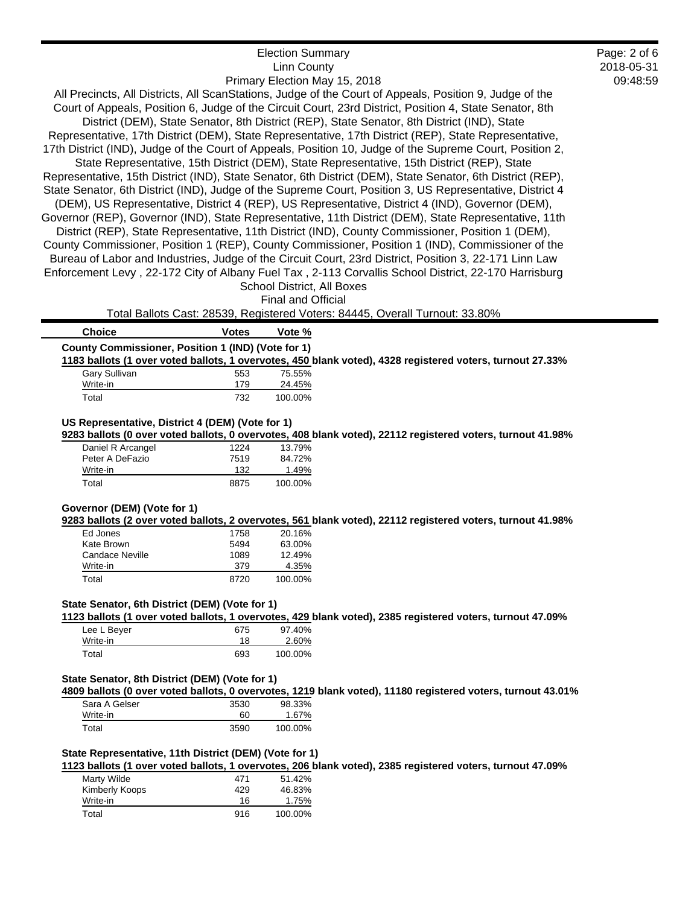| <b>Election Summary</b>                                                                                    | Page: 2 of 6 |
|------------------------------------------------------------------------------------------------------------|--------------|
| Linn County                                                                                                | 2018-05-31   |
| Primary Election May 15, 2018                                                                              | 09:48:59     |
| All Precincts, All Districts, All ScanStations, Judge of the Court of Appeals, Position 9, Judge of the    |              |
| Court of Appeals, Position 6, Judge of the Circuit Court, 23rd District, Position 4, State Senator, 8th    |              |
| District (DEM), State Senator, 8th District (REP), State Senator, 8th District (IND), State                |              |
| Representative, 17th District (DEM), State Representative, 17th District (REP), State Representative,      |              |
| 17th District (IND), Judge of the Court of Appeals, Position 10, Judge of the Supreme Court, Position 2,   |              |
| State Representative, 15th District (DEM), State Representative, 15th District (REP), State                |              |
| Representative, 15th District (IND), State Senator, 6th District (DEM), State Senator, 6th District (REP), |              |
| State Senator, 6th District (IND), Judge of the Supreme Court, Position 3, US Representative, District 4   |              |
| (DEM), US Representative, District 4 (REP), US Representative, District 4 (IND), Governor (DEM),           |              |
| Governor (REP), Governor (IND), State Representative, 11th District (DEM), State Representative, 11th      |              |
| District (REP), State Representative, 11th District (IND), County Commissioner, Position 1 (DEM),          |              |
| County Commissioner, Position 1 (REP), County Commissioner, Position 1 (IND), Commissioner of the          |              |
| Bureau of Labor and Industries, Judge of the Circuit Court, 23rd District, Position 3, 22-171 Linn Law     |              |
| Enforcement Levy, 22-172 City of Albany Fuel Tax, 2-113 Corvallis School District, 22-170 Harrisburg       |              |
| School District, All Boxes                                                                                 |              |
| <b>Final and Official</b>                                                                                  |              |
| Total Ballots Cast: 28539, Registered Voters: 84445, Overall Turnout: 33.80%                               |              |

| <b>Choice</b>                                                                                             | Votes | Vote %  |  |  |
|-----------------------------------------------------------------------------------------------------------|-------|---------|--|--|
| County Commissioner, Position 1 (IND) (Vote for 1)                                                        |       |         |  |  |
| 1183 ballots (1 over voted ballots, 1 overvotes, 450 blank voted), 4328 registered voters, turnout 27.33% |       |         |  |  |
| Gary Sullivan                                                                                             | 553   | 75.55%  |  |  |
| Write-in                                                                                                  | 179   | 24.45%  |  |  |
| Total                                                                                                     | 732   | 100.00% |  |  |
|                                                                                                           |       |         |  |  |

### **US Representative, District 4 (DEM) (Vote for 1)**

**9283 ballots (0 over voted ballots, 0 overvotes, 408 blank voted), 22112 registered voters, turnout 41.98%**

| Daniel R Arcangel | 1224 | 13.79%  |
|-------------------|------|---------|
| Peter A DeFazio   | 7519 | 84.72%  |
| Write-in          | 132  | 1.49%   |
| Total             | 8875 | 100.00% |

#### **Governor (DEM) (Vote for 1)**

**9283 ballots (2 over voted ballots, 2 overvotes, 561 blank voted), 22112 registered voters, turnout 41.98%**

| Ed Jones        | 1758 | 20.16%  |
|-----------------|------|---------|
| Kate Brown      | 5494 | 63.00%  |
| Candace Neville | 1089 | 12.49%  |
| Write-in        | 379  | 4.35%   |
| Total           | 8720 | 100.00% |

## **State Senator, 6th District (DEM) (Vote for 1)**

**1123 ballots (1 over voted ballots, 1 overvotes, 429 blank voted), 2385 registered voters, turnout 47.09%**

| Lee L Beyer | 675 | 97.40%  |
|-------------|-----|---------|
| Write-in    | 18  | 2.60%   |
| Total       | 693 | 100.00% |

# **State Senator, 8th District (DEM) (Vote for 1)**

**4809 ballots (0 over voted ballots, 0 overvotes, 1219 blank voted), 11180 registered voters, turnout 43.01%**

| Sara A Gelser | 3530 | 98.33%  |
|---------------|------|---------|
| Write-in      | 60   | 1.67%   |
| Total         | 3590 | 100.00% |

# **State Representative, 11th District (DEM) (Vote for 1)**

**1123 ballots (1 over voted ballots, 1 overvotes, 206 blank voted), 2385 registered voters, turnout 47.09%**

| Marty Wilde    | 471 | 51.42%  |
|----------------|-----|---------|
| Kimberly Koops | 429 | 46.83%  |
| Write-in       | 16  | 1.75%   |
| Total          | 916 | 100.00% |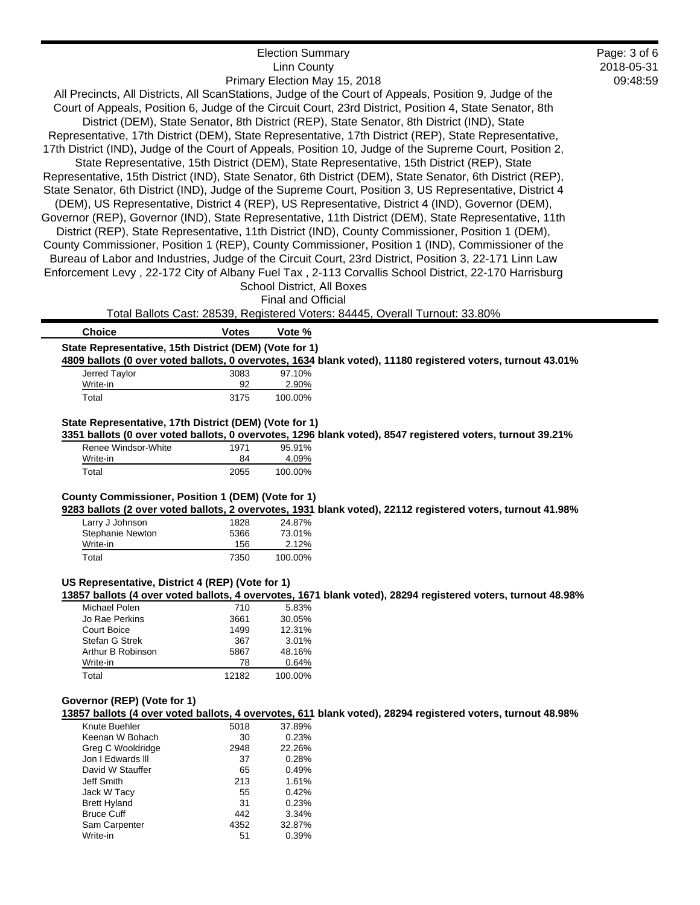|                                                        |              | <b>Election Summary</b><br><b>Linn County</b> |                                                                                                              | Page: 3 of 6<br>2018-05-31 |
|--------------------------------------------------------|--------------|-----------------------------------------------|--------------------------------------------------------------------------------------------------------------|----------------------------|
|                                                        |              |                                               | Primary Election May 15, 2018                                                                                | 09:48:59                   |
|                                                        |              |                                               | All Precincts, All Districts, All ScanStations, Judge of the Court of Appeals, Position 9, Judge of the      |                            |
|                                                        |              |                                               | Court of Appeals, Position 6, Judge of the Circuit Court, 23rd District, Position 4, State Senator, 8th      |                            |
|                                                        |              |                                               | District (DEM), State Senator, 8th District (REP), State Senator, 8th District (IND), State                  |                            |
|                                                        |              |                                               | Representative, 17th District (DEM), State Representative, 17th District (REP), State Representative,        |                            |
|                                                        |              |                                               | 17th District (IND), Judge of the Court of Appeals, Position 10, Judge of the Supreme Court, Position 2,     |                            |
|                                                        |              |                                               |                                                                                                              |                            |
|                                                        |              |                                               | State Representative, 15th District (DEM), State Representative, 15th District (REP), State                  |                            |
|                                                        |              |                                               | Representative, 15th District (IND), State Senator, 6th District (DEM), State Senator, 6th District (REP),   |                            |
|                                                        |              |                                               | State Senator, 6th District (IND), Judge of the Supreme Court, Position 3, US Representative, District 4     |                            |
|                                                        |              |                                               | (DEM), US Representative, District 4 (REP), US Representative, District 4 (IND), Governor (DEM),             |                            |
|                                                        |              |                                               | Governor (REP), Governor (IND), State Representative, 11th District (DEM), State Representative, 11th        |                            |
|                                                        |              |                                               | District (REP), State Representative, 11th District (IND), County Commissioner, Position 1 (DEM),            |                            |
|                                                        |              |                                               | County Commissioner, Position 1 (REP), County Commissioner, Position 1 (IND), Commissioner of the            |                            |
|                                                        |              |                                               | Bureau of Labor and Industries, Judge of the Circuit Court, 23rd District, Position 3, 22-171 Linn Law       |                            |
|                                                        |              |                                               | Enforcement Levy, 22-172 City of Albany Fuel Tax, 2-113 Corvallis School District, 22-170 Harrisburg         |                            |
|                                                        |              | School District, All Boxes                    |                                                                                                              |                            |
|                                                        |              | Final and Official                            |                                                                                                              |                            |
|                                                        |              |                                               | Total Ballots Cast: 28539, Registered Voters: 84445, Overall Turnout: 33.80%                                 |                            |
| <b>Choice</b>                                          | <b>Votes</b> | Vote %                                        |                                                                                                              |                            |
| State Representative, 15th District (DEM) (Vote for 1) |              |                                               |                                                                                                              |                            |
|                                                        |              |                                               | 4809 ballots (0 over voted ballots, 0 overvotes, 1634 blank voted), 11180 registered voters, turnout 43.01%  |                            |
| Jerred Taylor                                          | 3083         | 97.10%                                        |                                                                                                              |                            |
| Write-in<br>Total                                      | 92<br>3175   | 2.90%<br>100.00%                              |                                                                                                              |                            |
|                                                        |              |                                               |                                                                                                              |                            |
| State Representative, 17th District (DEM) (Vote for 1) |              |                                               |                                                                                                              |                            |
|                                                        |              |                                               | 3351 ballots (0 over voted ballots, 0 overvotes, 1296 blank voted), 8547 registered voters, turnout 39.21%   |                            |
| Renee Windsor-White                                    | 1971         | 95.91%                                        |                                                                                                              |                            |
| Write-in                                               | 84           | 4.09%                                         |                                                                                                              |                            |
| Total                                                  | 2055         | 100.00%                                       |                                                                                                              |                            |
| County Commissioner, Position 1 (DEM) (Vote for 1)     |              |                                               |                                                                                                              |                            |
|                                                        |              |                                               | 9283 ballots (2 over voted ballots, 2 overvotes, 1931 blank voted), 22112 registered voters, turnout 41.98%  |                            |
| Larry J Johnson                                        | 1828         | 24.87%                                        |                                                                                                              |                            |
| Stephanie Newton                                       | 5366         | 73.01%                                        |                                                                                                              |                            |
| Write-in                                               | 156          | 2.12%                                         |                                                                                                              |                            |
| Total                                                  | 7350         | 100.00%                                       |                                                                                                              |                            |
|                                                        |              |                                               |                                                                                                              |                            |
|                                                        |              |                                               |                                                                                                              |                            |
| US Representative, District 4 (REP) (Vote for 1)       |              |                                               |                                                                                                              |                            |
|                                                        |              |                                               | 13857 ballots (4 over voted ballots, 4 overvotes, 1671 blank voted), 28294 registered voters, turnout 48.98% |                            |
| Michael Polen                                          | 710          | 5.83%                                         |                                                                                                              |                            |
| Jo Rae Perkins<br>Court Boice                          | 3661<br>1499 | 30.05%<br>12.31%                              |                                                                                                              |                            |
| Stefan G Strek                                         | 367          | 3.01%                                         |                                                                                                              |                            |
| Arthur B Robinson                                      | 5867         | 48.16%                                        |                                                                                                              |                            |
| Write-in<br>Total                                      | 78<br>12182  | 0.64%<br>100.00%                              |                                                                                                              |                            |

#### **Governor (REP) (Vote for 1)**

**13857 ballots (4 over voted ballots, 4 overvotes, 611 blank voted), 28294 registered voters, turnout 48.98%**

| Knute Buehler       | 5018 | 37.89% |
|---------------------|------|--------|
| Keenan W Bohach     | 30   | 0.23%  |
| Greg C Wooldridge   | 2948 | 22.26% |
| Jon I Edwards III   | 37   | 0.28%  |
| David W Stauffer    | 65   | 0.49%  |
| Jeff Smith          | 213  | 1.61%  |
| Jack W Tacy         | 55   | 0.42%  |
| <b>Brett Hyland</b> | 31   | 0.23%  |
| <b>Bruce Cuff</b>   | 442  | 3.34%  |
| Sam Carpenter       | 4352 | 32.87% |
| Write-in            | 51   | 0.39%  |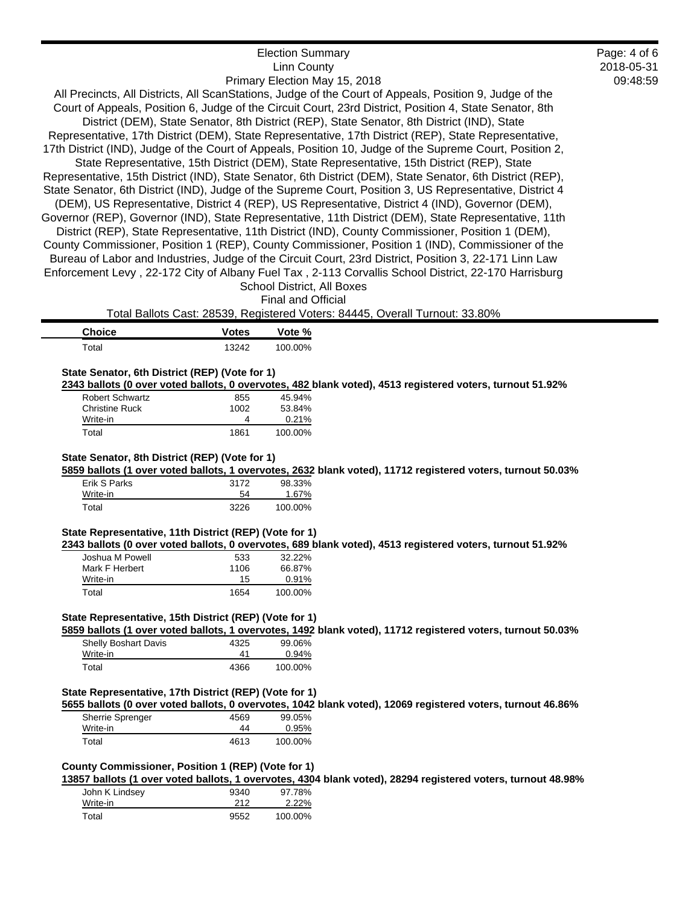| <b>Election Summary</b>                                                                                    | Page: $4$ of $6$ |
|------------------------------------------------------------------------------------------------------------|------------------|
| Linn County                                                                                                | 2018-05-31       |
| Primary Election May 15, 2018                                                                              | 09:48:59         |
| All Precincts, All Districts, All ScanStations, Judge of the Court of Appeals, Position 9, Judge of the    |                  |
| Court of Appeals, Position 6, Judge of the Circuit Court, 23rd District, Position 4, State Senator, 8th    |                  |
| District (DEM), State Senator, 8th District (REP), State Senator, 8th District (IND), State                |                  |
| Representative, 17th District (DEM), State Representative, 17th District (REP), State Representative,      |                  |
| 17th District (IND), Judge of the Court of Appeals, Position 10, Judge of the Supreme Court, Position 2,   |                  |
| State Representative, 15th District (DEM), State Representative, 15th District (REP), State                |                  |
| Representative, 15th District (IND), State Senator, 6th District (DEM), State Senator, 6th District (REP), |                  |
| State Senator, 6th District (IND), Judge of the Supreme Court, Position 3, US Representative, District 4   |                  |
| (DEM), US Representative, District 4 (REP), US Representative, District 4 (IND), Governor (DEM),           |                  |
| Governor (REP), Governor (IND), State Representative, 11th District (DEM), State Representative, 11th      |                  |
| District (REP), State Representative, 11th District (IND), County Commissioner, Position 1 (DEM),          |                  |
| County Commissioner, Position 1 (REP), County Commissioner, Position 1 (IND), Commissioner of the          |                  |
| Bureau of Labor and Industries, Judge of the Circuit Court, 23rd District, Position 3, 22-171 Linn Law     |                  |
| Enforcement Levy, 22-172 City of Albany Fuel Tax, 2-113 Corvallis School District, 22-170 Harrisburg       |                  |
| School District, All Boxes                                                                                 |                  |
| <b>Final and Official</b>                                                                                  |                  |
| Total Ballots Cast: 28539, Registered Voters: 84445, Overall Turnout: 33.80%                               |                  |

| <b>Choice</b> | <b>Votes</b> | Vote %  |
|---------------|--------------|---------|
| Total         | 13242        | 100.00% |

| State Senator, 6th District (REP) (Vote for 1) |  |  |
|------------------------------------------------|--|--|
|------------------------------------------------|--|--|

**2343 ballots (0 over voted ballots, 0 overvotes, 482 blank voted), 4513 registered voters, turnout 51.92%**

| <b>Robert Schwartz</b> | 855  | 45.94%  |
|------------------------|------|---------|
| <b>Christine Ruck</b>  | 1002 | 53.84%  |
| Write-in               |      | 0.21%   |
| Total                  | 1861 | 100.00% |

#### **State Senator, 8th District (REP) (Vote for 1)**

**5859 ballots (1 over voted ballots, 1 overvotes, 2632 blank voted), 11712 registered voters, turnout 50.03%**

| Erik S Parks | 3172 | 98.33%  |
|--------------|------|---------|
| Write-in     | 54   | 1.67%   |
| Total        | 3226 | 100.00% |

#### **State Representative, 11th District (REP) (Vote for 1)**

**2343 ballots (0 over voted ballots, 0 overvotes, 689 blank voted), 4513 registered voters, turnout 51.92%**

| Joshua M Powell | 533  | 32.22%  |
|-----------------|------|---------|
| Mark F Herbert  | 1106 | 66.87%  |
| Write-in        | 15   | 0.91%   |
| Total           | 1654 | 100.00% |

#### **State Representative, 15th District (REP) (Vote for 1)**

**5859 ballots (1 over voted ballots, 1 overvotes, 1492 blank voted), 11712 registered voters, turnout 50.03%**

| <b>Shelly Boshart Davis</b> | 4325 | 99.06%  |
|-----------------------------|------|---------|
| Write-in                    | 41   | 0.94%   |
| Total                       | 4366 | 100.00% |

#### **State Representative, 17th District (REP) (Vote for 1)**

**5655 ballots (0 over voted ballots, 0 overvotes, 1042 blank voted), 12069 registered voters, turnout 46.86%**

| Sherrie Sprenger | 4569 | 99.05%  |
|------------------|------|---------|
| Write-in         | 44   | 0.95%   |
| Total            | 4613 | 100.00% |

### **County Commissioner, Position 1 (REP) (Vote for 1)**

**13857 ballots (1 over voted ballots, 1 overvotes, 4304 blank voted), 28294 registered voters, turnout 48.98%**

| John K Lindsey | 9340 | 97.78%  |
|----------------|------|---------|
| Write-in       | 212  | 2.22%   |
| Total          | 9552 | 100.00% |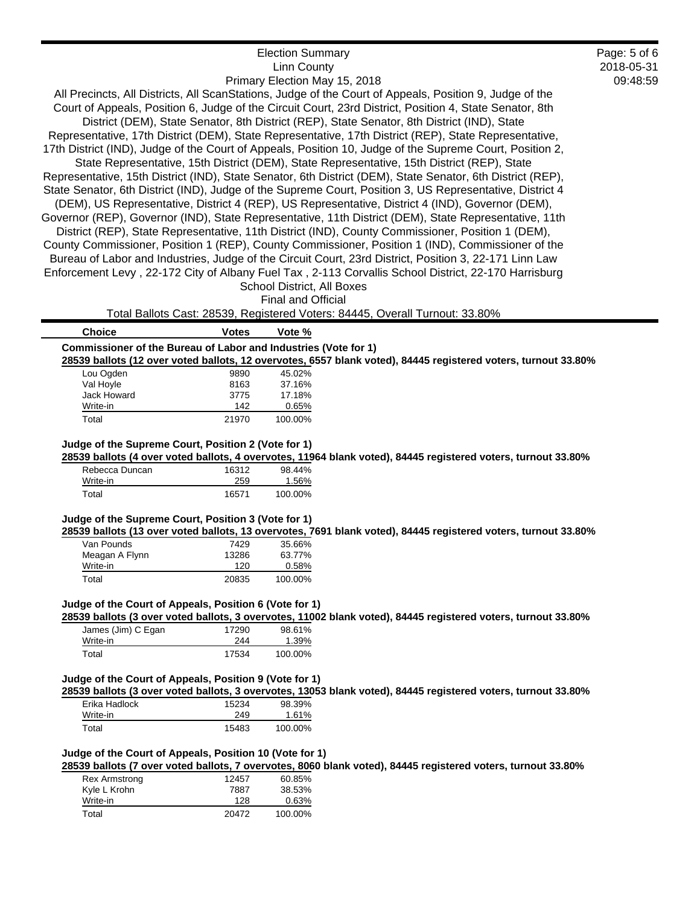| <b>Election Summary</b>                                                                                    | Page: 5 of 6 |
|------------------------------------------------------------------------------------------------------------|--------------|
| Linn County                                                                                                | 2018-05-31   |
| Primary Election May 15, 2018                                                                              | 09:48:59     |
| All Precincts, All Districts, All ScanStations, Judge of the Court of Appeals, Position 9, Judge of the    |              |
| Court of Appeals, Position 6, Judge of the Circuit Court, 23rd District, Position 4, State Senator, 8th    |              |
| District (DEM), State Senator, 8th District (REP), State Senator, 8th District (IND), State                |              |
| Representative, 17th District (DEM), State Representative, 17th District (REP), State Representative,      |              |
| 17th District (IND), Judge of the Court of Appeals, Position 10, Judge of the Supreme Court, Position 2,   |              |
| State Representative, 15th District (DEM), State Representative, 15th District (REP), State                |              |
| Representative, 15th District (IND), State Senator, 6th District (DEM), State Senator, 6th District (REP), |              |
| State Senator, 6th District (IND), Judge of the Supreme Court, Position 3, US Representative, District 4   |              |
| (DEM), US Representative, District 4 (REP), US Representative, District 4 (IND), Governor (DEM),           |              |
| Governor (REP), Governor (IND), State Representative, 11th District (DEM), State Representative, 11th      |              |
| District (REP), State Representative, 11th District (IND), County Commissioner, Position 1 (DEM),          |              |
| County Commissioner, Position 1 (REP), County Commissioner, Position 1 (IND), Commissioner of the          |              |
| Bureau of Labor and Industries, Judge of the Circuit Court, 23rd District, Position 3, 22-171 Linn Law     |              |
| Enforcement Levy, 22-172 City of Albany Fuel Tax, 2-113 Corvallis School District, 22-170 Harrisburg       |              |
| School District, All Boxes                                                                                 |              |

Final and Official

Total Ballots Cast: 28539, Registered Voters: 84445, Overall Turnout: 33.80%

| Choice                                                                                                         | Votes | Vote % |  |  |
|----------------------------------------------------------------------------------------------------------------|-------|--------|--|--|
| Commissioner of the Bureau of Labor and Industries (Vote for 1)                                                |       |        |  |  |
| 28539 ballots (12 over voted ballots, 12 overvotes, 6557 blank voted), 84445 registered voters, turnout 33.80% |       |        |  |  |
| nu Ogden                                                                                                       | 9890  | 45 በ2% |  |  |

| Lou Ogden   | 9890  | 45.02%  |
|-------------|-------|---------|
| Val Hoyle   | 8163  | 37.16%  |
| Jack Howard | 3775  | 17.18%  |
| Write-in    | 142   | 0.65%   |
| Total       | 21970 | 100.00% |

#### **Judge of the Supreme Court, Position 2 (Vote for 1)**

**28539 ballots (4 over voted ballots, 4 overvotes, 11964 blank voted), 84445 registered voters, turnout 33.80%**

| Rebecca Duncan | 16312 | 98.44%  |
|----------------|-------|---------|
| Write-in       | 259   | 1.56%   |
| Total          | 16571 | 100.00% |

#### **Judge of the Supreme Court, Position 3 (Vote for 1)**

**28539 ballots (13 over voted ballots, 13 overvotes, 7691 blank voted), 84445 registered voters, turnout 33.80%**

| Van Pounds     | 7429  | 35.66%  |
|----------------|-------|---------|
| Meagan A Flynn | 13286 | 63.77%  |
| Write-in       | 120   | 0.58%   |
| Total          | 20835 | 100.00% |

## **Judge of the Court of Appeals, Position 6 (Vote for 1)**

**28539 ballots (3 over voted ballots, 3 overvotes, 11002 blank voted), 84445 registered voters, turnout 33.80%**

| James (Jim) C Egan | 17290 | 98.61%  |
|--------------------|-------|---------|
| Write-in           | 244   | 1.39%   |
| Total              | 17534 | 100.00% |

# **Judge of the Court of Appeals, Position 9 (Vote for 1)**

**28539 ballots (3 over voted ballots, 3 overvotes, 13053 blank voted), 84445 registered voters, turnout 33.80%**

| Erika Hadlock | 15234 | 98.39%  |
|---------------|-------|---------|
| Write-in      | 249   | 1.61%   |
| Total         | 15483 | 100.00% |

# **Judge of the Court of Appeals, Position 10 (Vote for 1)**

**28539 ballots (7 over voted ballots, 7 overvotes, 8060 blank voted), 84445 registered voters, turnout 33.80%**

| Rex Armstrong | 12457 | 60.85%  |
|---------------|-------|---------|
| Kyle L Krohn  | 7887  | 38.53%  |
| Write-in      | 128   | 0.63%   |
| Total         | 20472 | 100.00% |